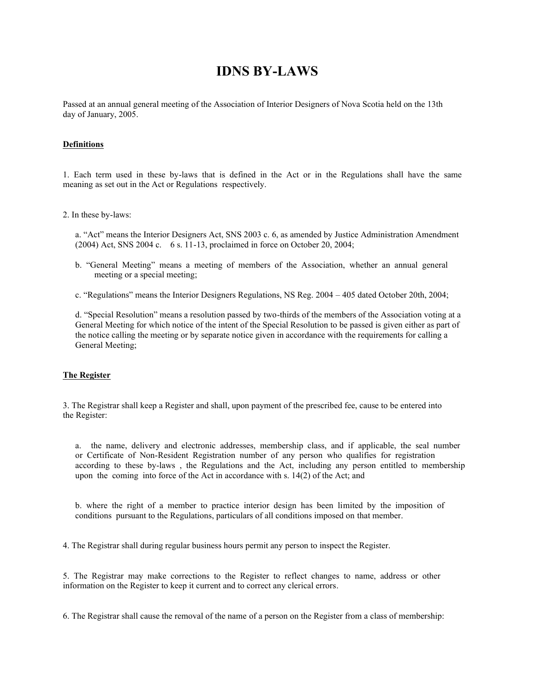# **IDNS BY-LAWS**

Passed at an annual general meeting of the Association of Interior Designers of Nova Scotia held on the 13th day of January, 2005.

## **Definitions**

1. Each term used in these by-laws that is defined in the Act or in the Regulations shall have the same meaning as set out in the Act or Regulations respectively.

2. In these by-laws:

a. "Act" means the Interior Designers Act, SNS 2003 c. 6, as amended by Justice Administration Amendment (2004) Act, SNS 2004 c. 6 s. 11-13, proclaimed in force on October 20, 2004;

b. "General Meeting" means a meeting of members of the Association, whether an annual general meeting or a special meeting;

c. "Regulations" means the Interior Designers Regulations, NS Reg. 2004 – 405 dated October 20th, 2004;

d. "Special Resolution" means a resolution passed by two-thirds of the members of the Association voting at a General Meeting for which notice of the intent of the Special Resolution to be passed is given either as part of the notice calling the meeting or by separate notice given in accordance with the requirements for calling a General Meeting;

#### **The Register**

3. The Registrar shall keep a Register and shall, upon payment of the prescribed fee, cause to be entered into the Register:

a. the name, delivery and electronic addresses, membership class, and if applicable, the seal number or Certificate of Non-Resident Registration number of any person who qualifies for registration according to these by-laws , the Regulations and the Act, including any person entitled to membership upon the coming into force of the Act in accordance with s. 14(2) of the Act; and

b. where the right of a member to practice interior design has been limited by the imposition of conditions pursuant to the Regulations, particulars of all conditions imposed on that member.

4. The Registrar shall during regular business hours permit any person to inspect the Register.

5. The Registrar may make corrections to the Register to reflect changes to name, address or other information on the Register to keep it current and to correct any clerical errors.

6. The Registrar shall cause the removal of the name of a person on the Register from a class of membership: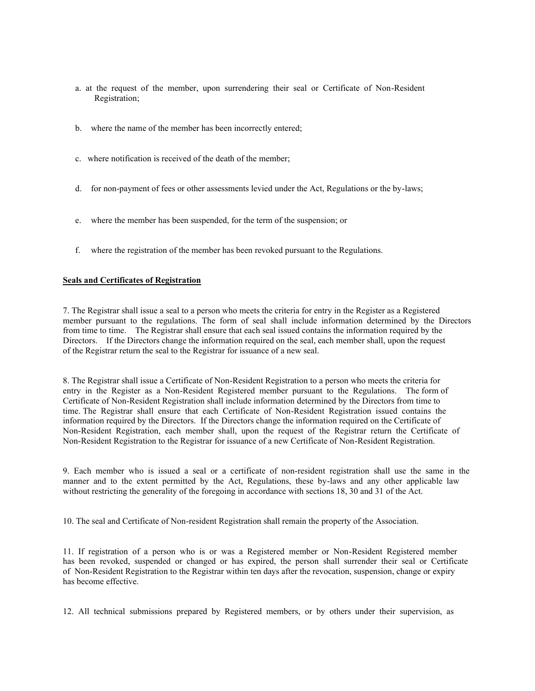- a. at the request of the member, upon surrendering their seal or Certificate of Non-Resident Registration;
- b. where the name of the member has been incorrectly entered;
- c. where notification is received of the death of the member;
- d. for non-payment of fees or other assessments levied under the Act, Regulations or the by-laws;
- e. where the member has been suspended, for the term of the suspension; or
- f. where the registration of the member has been revoked pursuant to the Regulations.

#### **Seals and Certificates of Registration**

7. The Registrar shall issue a seal to a person who meets the criteria for entry in the Register as a Registered member pursuant to the regulations. The form of seal shall include information determined by the Directors from time to time. The Registrar shall ensure that each seal issued contains the information required by the Directors. If the Directors change the information required on the seal, each member shall, upon the request of the Registrar return the seal to the Registrar for issuance of a new seal.

8. The Registrar shall issue a Certificate of Non-Resident Registration to a person who meets the criteria for entry in the Register as a Non-Resident Registered member pursuant to the Regulations. The form of Certificate of Non-Resident Registration shall include information determined by the Directors from time to time. The Registrar shall ensure that each Certificate of Non-Resident Registration issued contains the information required by the Directors. If the Directors change the information required on the Certificate of Non-Resident Registration, each member shall, upon the request of the Registrar return the Certificate of Non-Resident Registration to the Registrar for issuance of a new Certificate of Non-Resident Registration.

9. Each member who is issued a seal or a certificate of non-resident registration shall use the same in the manner and to the extent permitted by the Act, Regulations, these by-laws and any other applicable law without restricting the generality of the foregoing in accordance with sections 18, 30 and 31 of the Act.

10. The seal and Certificate of Non-resident Registration shall remain the property of the Association.

11. If registration of a person who is or was a Registered member or Non-Resident Registered member has been revoked, suspended or changed or has expired, the person shall surrender their seal or Certificate of Non-Resident Registration to the Registrar within ten days after the revocation, suspension, change or expiry has become effective.

12. All technical submissions prepared by Registered members, or by others under their supervision, as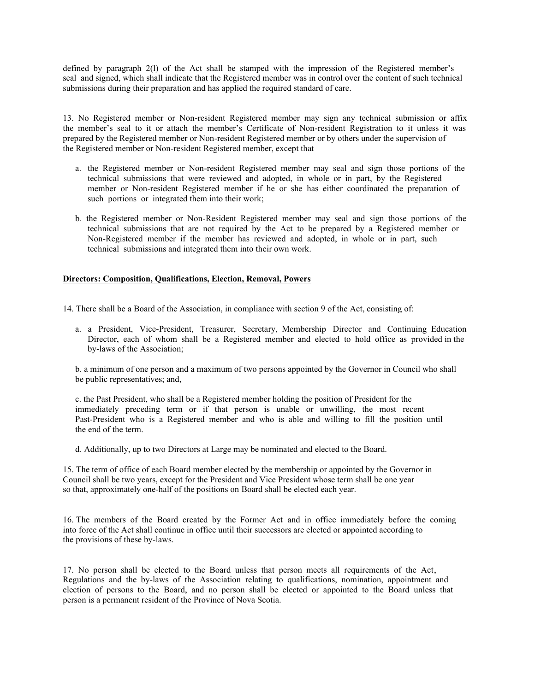defined by paragraph 2(l) of the Act shall be stamped with the impression of the Registered member's seal and signed, which shall indicate that the Registered member was in control over the content of such technical submissions during their preparation and has applied the required standard of care.

13. No Registered member or Non-resident Registered member may sign any technical submission or affix the member's seal to it or attach the member's Certificate of Non-resident Registration to it unless it was prepared by the Registered member or Non-resident Registered member or by others under the supervision of the Registered member or Non-resident Registered member, except that

- a. the Registered member or Non-resident Registered member may seal and sign those portions of the technical submissions that were reviewed and adopted, in whole or in part, by the Registered member or Non-resident Registered member if he or she has either coordinated the preparation of such portions or integrated them into their work;
- b. the Registered member or Non-Resident Registered member may seal and sign those portions of the technical submissions that are not required by the Act to be prepared by a Registered member or Non-Registered member if the member has reviewed and adopted, in whole or in part, such technical submissions and integrated them into their own work.

#### **Directors: Composition, Qualifications, Election, Removal, Powers**

14. There shall be a Board of the Association, in compliance with section 9 of the Act, consisting of:

a. a President, Vice-President, Treasurer, Secretary, Membership Director and Continuing Education Director, each of whom shall be a Registered member and elected to hold office as provided in the by-laws of the Association;

b. a minimum of one person and a maximum of two persons appointed by the Governor in Council who shall be public representatives; and,

c. the Past President, who shall be a Registered member holding the position of President for the immediately preceding term or if that person is unable or unwilling, the most recent Past-President who is a Registered member and who is able and willing to fill the position until the end of the term.

d. Additionally, up to two Directors at Large may be nominated and elected to the Board.

15. The term of office of each Board member elected by the membership or appointed by the Governor in Council shall be two years, except for the President and Vice President whose term shall be one year so that, approximately one-half of the positions on Board shall be elected each year.

16. The members of the Board created by the Former Act and in office immediately before the coming into force of the Act shall continue in office until their successors are elected or appointed according to the provisions of these by-laws.

17. No person shall be elected to the Board unless that person meets all requirements of the Act, Regulations and the by-laws of the Association relating to qualifications, nomination, appointment and election of persons to the Board, and no person shall be elected or appointed to the Board unless that person is a permanent resident of the Province of Nova Scotia.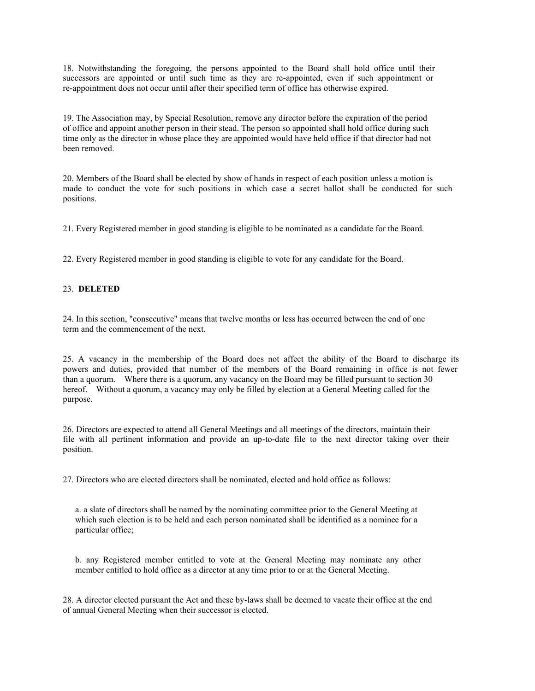18. Notwithstanding the foregoing, the persons appointed to the Board shall hold office until their successors are appointed or until such time as they are re-appointed, even if such appointment or re-appointment does not occur until after their specified term of office has otherwise expired.

19. The Association may, by Special Resolution, remove any director before the expiration of the period of office and appoint another person in their stead. The person so appointed shall hold office during such time only as the director in whose place they are appointed would have held office if that director had not been removed.

20. Members of the Board shall be elected by show of hands in respect of each position unless a motion is made to conduct the vote for such positions in which case a secret ballot shall be conducted for such positions.

21. Every Registered member in good standing is eligible to be nominated as a candidate for the Board.

22. Every Registered member in good standing is eligible to vote for any candidate for the Board.

#### 23. **DELETED**

24. In this section, "consecutive" means that twelve months or less has occurred between the end of one term and the commencement of the next.

25. A vacancy in the membership of the Board does not affect the ability of the Board to discharge its powers and duties, provided that number of the members of the Board remaining in office is not fewer than a quorum. Where there is a quorum, any vacancy on the Board may be filled pursuant to section 30 hereof. Without a quorum, a vacancy may only be filled by election at a General Meeting called for the purpose.

26. Directors are expected to attend all General Meetings and all meetings of the directors, maintain their file with all pertinent information and provide an up-to-date file to the next director taking over their position.

27. Directors who are elected directors shall be nominated, elected and hold office as follows:

a. a slate of directors shall be named by the nominating committee prior to the General Meeting at which such election is to be held and each person nominated shall be identified as a nominee for a particular office;

b. any Registered member entitled to vote at the General Meeting may nominate any other member entitled to hold office as a director at any time prior to or at the General Meeting.

28. A director elected pursuant the Act and these by-laws shall be deemed to vacate their office at the end of annual General Meeting when their successor is elected.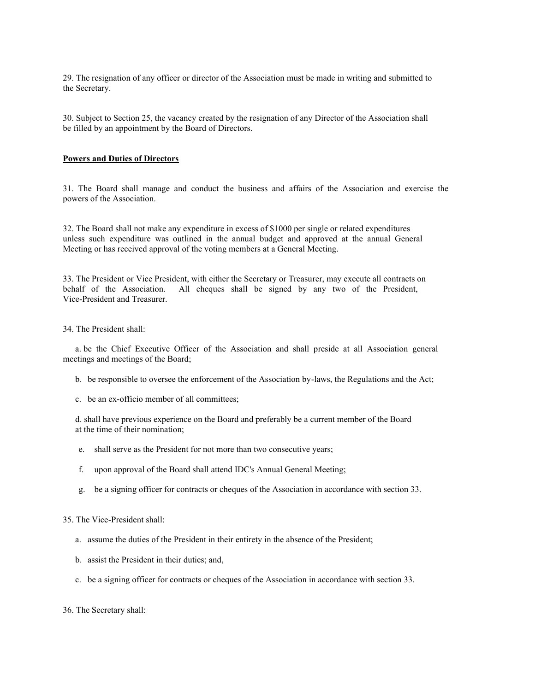29. The resignation of any officer or director of the Association must be made in writing and submitted to the Secretary.

30. Subject to Section 25, the vacancy created by the resignation of any Director of the Association shall be filled by an appointment by the Board of Directors.

#### **Powers and Duties of Directors**

31. The Board shall manage and conduct the business and affairs of the Association and exercise the powers of the Association.

32. The Board shall not make any expenditure in excess of \$1000 per single or related expenditures unless such expenditure was outlined in the annual budget and approved at the annual General Meeting or has received approval of the voting members at a General Meeting.

33. The President or Vice President, with either the Secretary or Treasurer, may execute all contracts on behalf of the Association. All cheques shall be signed by any two of the President, Vice-President and Treasurer.

#### 34. The President shall:

a. be the Chief Executive Officer of the Association and shall preside at all Association general meetings and meetings of the Board;

- b. be responsible to oversee the enforcement of the Association by-laws, the Regulations and the Act;
- c. be an ex-officio member of all committees;

d. shall have previous experience on the Board and preferably be a current member of the Board at the time of their nomination;

- e. shall serve as the President for not more than two consecutive years;
- f. upon approval of the Board shall attend IDC's Annual General Meeting;
- g. be a signing officer for contracts or cheques of the Association in accordance with section 33.

# 35. The Vice-President shall:

- a. assume the duties of the President in their entirety in the absence of the President;
- b. assist the President in their duties; and,
- c. be a signing officer for contracts or cheques of the Association in accordance with section 33.

#### 36. The Secretary shall: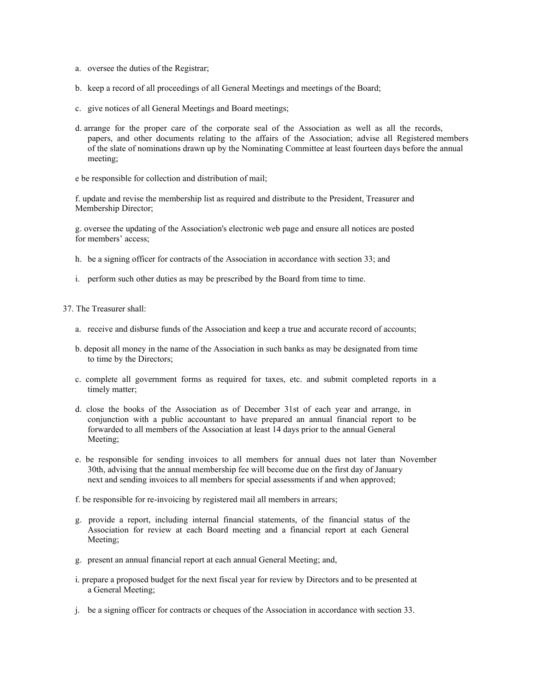- a. oversee the duties of the Registrar;
- b. keep a record of all proceedings of all General Meetings and meetings of the Board;
- c. give notices of all General Meetings and Board meetings;
- d. arrange for the proper care of the corporate seal of the Association as well as all the records, papers, and other documents relating to the affairs of the Association; advise all Registered members of the slate of nominations drawn up by the Nominating Committee at least fourteen days before the annual meeting;
- e be responsible for collection and distribution of mail;

f. update and revise the membership list as required and distribute to the President, Treasurer and Membership Director;

g. oversee the updating of the Association's electronic web page and ensure all notices are posted for members' access;

- h. be a signing officer for contracts of the Association in accordance with section 33; and
- i. perform such other duties as may be prescribed by the Board from time to time.

37. The Treasurer shall:

- a. receive and disburse funds of the Association and keep a true and accurate record of accounts;
- b. deposit all money in the name of the Association in such banks as may be designated from time to time by the Directors;
- c. complete all government forms as required for taxes, etc. and submit completed reports in a timely matter;
- d. close the books of the Association as of December 31st of each year and arrange, in conjunction with a public accountant to have prepared an annual financial report to be forwarded to all members of the Association at least 14 days prior to the annual General Meeting;
- e. be responsible for sending invoices to all members for annual dues not later than November 30th, advising that the annual membership fee will become due on the first day of January next and sending invoices to all members for special assessments if and when approved;
- f. be responsible for re-invoicing by registered mail all members in arrears;
- g. provide a report, including internal financial statements, of the financial status of the Association for review at each Board meeting and a financial report at each General Meeting;
- g. present an annual financial report at each annual General Meeting; and,
- i. prepare a proposed budget for the next fiscal year for review by Directors and to be presented at a General Meeting;
- j. be a signing officer for contracts or cheques of the Association in accordance with section 33.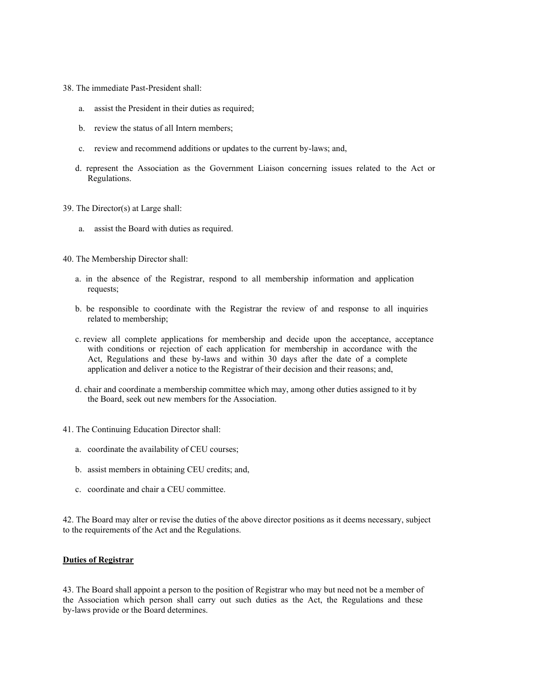- 38. The immediate Past-President shall:
	- a. assist the President in their duties as required;
	- b. review the status of all Intern members;
	- c. review and recommend additions or updates to the current by-laws; and,
	- d. represent the Association as the Government Liaison concerning issues related to the Act or Regulations.
- 39. The Director(s) at Large shall:
	- a. assist the Board with duties as required.
- 40. The Membership Director shall:
	- a. in the absence of the Registrar, respond to all membership information and application requests;
	- b. be responsible to coordinate with the Registrar the review of and response to all inquiries related to membership;
	- c. review all complete applications for membership and decide upon the acceptance, acceptance with conditions or rejection of each application for membership in accordance with the Act, Regulations and these by-laws and within 30 days after the date of a complete application and deliver a notice to the Registrar of their decision and their reasons; and,
	- d. chair and coordinate a membership committee which may, among other duties assigned to it by the Board, seek out new members for the Association.
- 41. The Continuing Education Director shall:
	- a. coordinate the availability of CEU courses;
	- b. assist members in obtaining CEU credits; and,
	- c. coordinate and chair a CEU committee.

42. The Board may alter or revise the duties of the above director positions as it deems necessary, subject to the requirements of the Act and the Regulations.

#### **Duties of Registrar**

43. The Board shall appoint a person to the position of Registrar who may but need not be a member of the Association which person shall carry out such duties as the Act, the Regulations and these by-laws provide or the Board determines.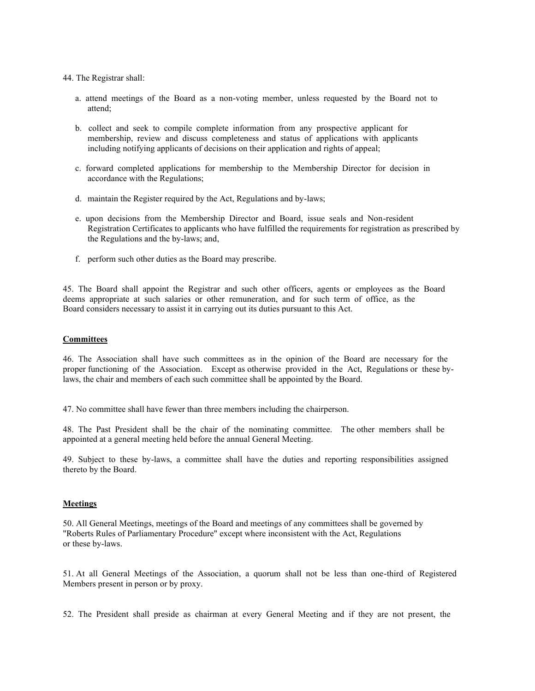44. The Registrar shall:

- a. attend meetings of the Board as a non-voting member, unless requested by the Board not to attend;
- b. collect and seek to compile complete information from any prospective applicant for membership, review and discuss completeness and status of applications with applicants including notifying applicants of decisions on their application and rights of appeal;
- c. forward completed applications for membership to the Membership Director for decision in accordance with the Regulations;
- d. maintain the Register required by the Act, Regulations and by-laws;
- e. upon decisions from the Membership Director and Board, issue seals and Non-resident Registration Certificates to applicants who have fulfilled the requirements for registration as prescribed by the Regulations and the by-laws; and,
- f. perform such other duties as the Board may prescribe.

45. The Board shall appoint the Registrar and such other officers, agents or employees as the Board deems appropriate at such salaries or other remuneration, and for such term of office, as the Board considers necessary to assist it in carrying out its duties pursuant to this Act.

## **Committees**

46. The Association shall have such committees as in the opinion of the Board are necessary for the proper functioning of the Association. Except as otherwise provided in the Act, Regulations or these bylaws, the chair and members of each such committee shall be appointed by the Board.

47. No committee shall have fewer than three members including the chairperson.

48. The Past President shall be the chair of the nominating committee. The other members shall be appointed at a general meeting held before the annual General Meeting.

49. Subject to these by-laws, a committee shall have the duties and reporting responsibilities assigned thereto by the Board.

#### **Meetings**

50. All General Meetings, meetings of the Board and meetings of any committees shall be governed by "Roberts Rules of Parliamentary Procedure" except where inconsistent with the Act, Regulations or these by-laws.

51. At all General Meetings of the Association, a quorum shall not be less than one-third of Registered Members present in person or by proxy.

52. The President shall preside as chairman at every General Meeting and if they are not present, the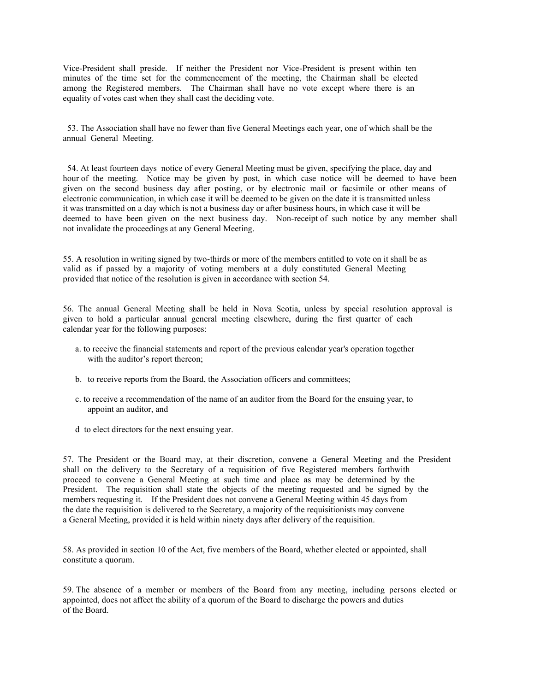Vice-President shall preside. If neither the President nor Vice-President is present within ten minutes of the time set for the commencement of the meeting, the Chairman shall be elected among the Registered members. The Chairman shall have no vote except where there is an equality of votes cast when they shall cast the deciding vote.

 53. The Association shall have no fewer than five General Meetings each year, one of which shall be the annual General Meeting.

 54. At least fourteen days notice of every General Meeting must be given, specifying the place, day and hour of the meeting. Notice may be given by post, in which case notice will be deemed to have been given on the second business day after posting, or by electronic mail or facsimile or other means of electronic communication, in which case it will be deemed to be given on the date it is transmitted unless it was transmitted on a day which is not a business day or after business hours, in which case it will be deemed to have been given on the next business day. Non-receipt of such notice by any member shall not invalidate the proceedings at any General Meeting.

55. A resolution in writing signed by two-thirds or more of the members entitled to vote on it shall be as valid as if passed by a majority of voting members at a duly constituted General Meeting provided that notice of the resolution is given in accordance with section 54.

56. The annual General Meeting shall be held in Nova Scotia, unless by special resolution approval is given to hold a particular annual general meeting elsewhere, during the first quarter of each calendar year for the following purposes:

- a. to receive the financial statements and report of the previous calendar year's operation together with the auditor's report thereon;
- b. to receive reports from the Board, the Association officers and committees;
- c. to receive a recommendation of the name of an auditor from the Board for the ensuing year, to appoint an auditor, and
- d to elect directors for the next ensuing year.

57. The President or the Board may, at their discretion, convene a General Meeting and the President shall on the delivery to the Secretary of a requisition of five Registered members forthwith proceed to convene a General Meeting at such time and place as may be determined by the President. The requisition shall state the objects of the meeting requested and be signed by the members requesting it. If the President does not convene a General Meeting within 45 days from the date the requisition is delivered to the Secretary, a majority of the requisitionists may convene a General Meeting, provided it is held within ninety days after delivery of the requisition.

58. As provided in section 10 of the Act, five members of the Board, whether elected or appointed, shall constitute a quorum.

59. The absence of a member or members of the Board from any meeting, including persons elected or appointed, does not affect the ability of a quorum of the Board to discharge the powers and duties of the Board.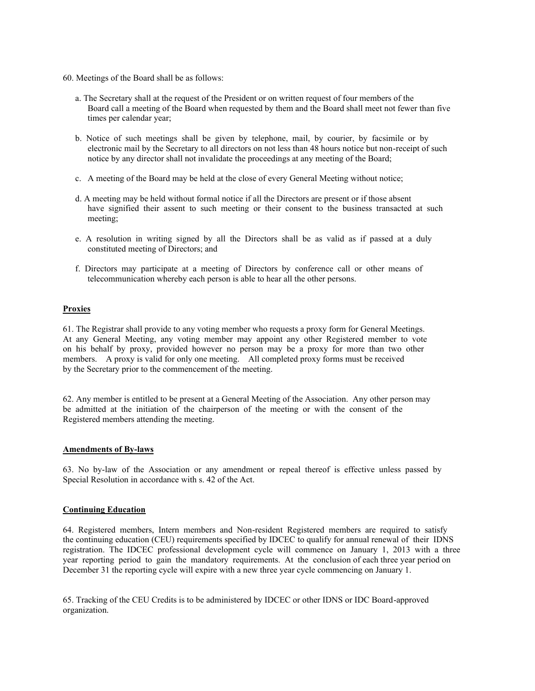- 60. Meetings of the Board shall be as follows:
	- a. The Secretary shall at the request of the President or on written request of four members of the Board call a meeting of the Board when requested by them and the Board shall meet not fewer than five times per calendar year;
	- b. Notice of such meetings shall be given by telephone, mail, by courier, by facsimile or by electronic mail by the Secretary to all directors on not less than 48 hours notice but non-receipt of such notice by any director shall not invalidate the proceedings at any meeting of the Board;
	- c. A meeting of the Board may be held at the close of every General Meeting without notice;
	- d. A meeting may be held without formal notice if all the Directors are present or if those absent have signified their assent to such meeting or their consent to the business transacted at such meeting;
	- e. A resolution in writing signed by all the Directors shall be as valid as if passed at a duly constituted meeting of Directors; and
	- f. Directors may participate at a meeting of Directors by conference call or other means of telecommunication whereby each person is able to hear all the other persons.

#### **Proxies**

61. The Registrar shall provide to any voting member who requests a proxy form for General Meetings. At any General Meeting, any voting member may appoint any other Registered member to vote on his behalf by proxy, provided however no person may be a proxy for more than two other members. A proxy is valid for only one meeting. All completed proxy forms must be received by the Secretary prior to the commencement of the meeting.

62. Any member is entitled to be present at a General Meeting of the Association. Any other person may be admitted at the initiation of the chairperson of the meeting or with the consent of the Registered members attending the meeting.

#### **Amendments of By-laws**

63. No by-law of the Association or any amendment or repeal thereof is effective unless passed by Special Resolution in accordance with s. 42 of the Act.

#### **Continuing Education**

64. Registered members, Intern members and Non-resident Registered members are required to satisfy the continuing education (CEU) requirements specified by IDCEC to qualify for annual renewal of their IDNS registration. The IDCEC professional development cycle will commence on January 1, 2013 with a three year reporting period to gain the mandatory requirements. At the conclusion of each three year period on December 31 the reporting cycle will expire with a new three year cycle commencing on January 1.

65. Tracking of the CEU Credits is to be administered by IDCEC or other IDNS or IDC Board-approved organization.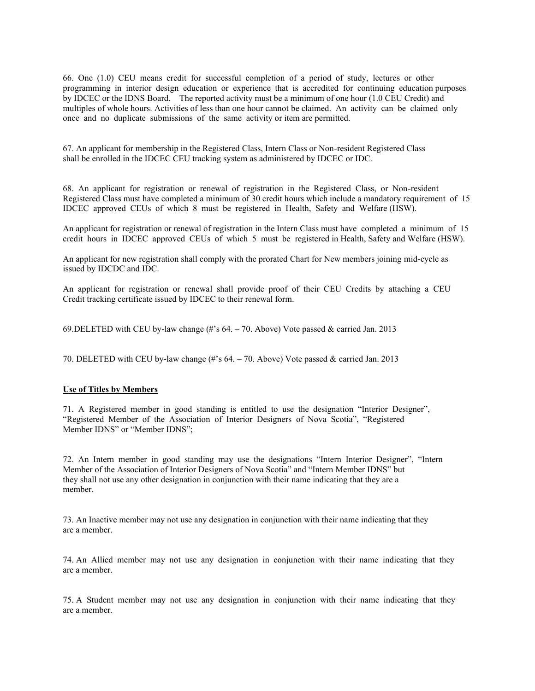66. One (1.0) CEU means credit for successful completion of a period of study, lectures or other programming in interior design education or experience that is accredited for continuing education purposes by IDCEC or the IDNS Board. The reported activity must be a minimum of one hour (1.0 CEU Credit) and multiples of whole hours. Activities of less than one hour cannot be claimed. An activity can be claimed only once and no duplicate submissions of the same activity or item are permitted.

67. An applicant for membership in the Registered Class, Intern Class or Non-resident Registered Class shall be enrolled in the IDCEC CEU tracking system as administered by IDCEC or IDC.

68. An applicant for registration or renewal of registration in the Registered Class, or Non-resident Registered Class must have completed a minimum of 30 credit hours which include a mandatory requirement of 15 IDCEC approved CEUs of which 8 must be registered in Health, Safety and Welfare (HSW).

An applicant for registration or renewal of registration in the Intern Class must have completed a minimum of 15 credit hours in IDCEC approved CEUs of which 5 must be registered in Health, Safety and Welfare (HSW).

An applicant for new registration shall comply with the prorated Chart for New members joining mid-cycle as issued by IDCDC and IDC.

An applicant for registration or renewal shall provide proof of their CEU Credits by attaching a CEU Credit tracking certificate issued by IDCEC to their renewal form.

69.DELETED with CEU by-law change (#'s 64. – 70. Above) Vote passed & carried Jan. 2013

70. DELETED with CEU by-law change (#'s 64. – 70. Above) Vote passed & carried Jan. 2013

#### **Use of Titles by Members**

71. A Registered member in good standing is entitled to use the designation "Interior Designer", "Registered Member of the Association of Interior Designers of Nova Scotia", "Registered Member IDNS" or "Member IDNS";

72. An Intern member in good standing may use the designations "Intern Interior Designer", "Intern Member of the Association of Interior Designers of Nova Scotia" and "Intern Member IDNS" but they shall not use any other designation in conjunction with their name indicating that they are a member.

73. An Inactive member may not use any designation in conjunction with their name indicating that they are a member.

74. An Allied member may not use any designation in conjunction with their name indicating that they are a member.

75. A Student member may not use any designation in conjunction with their name indicating that they are a member.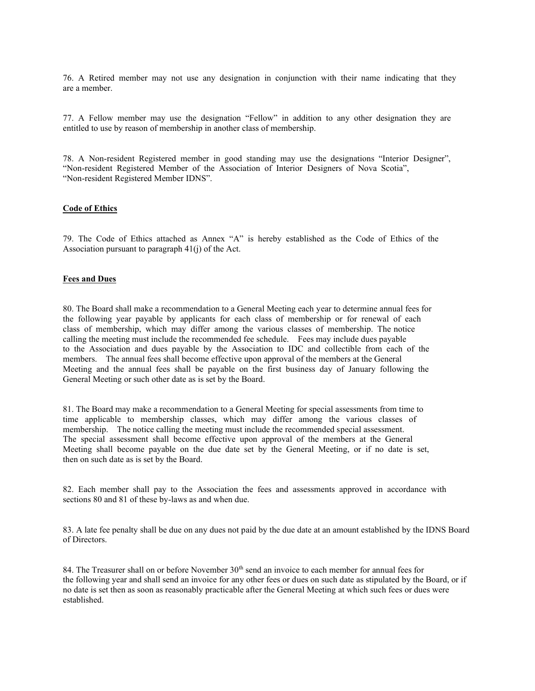76. A Retired member may not use any designation in conjunction with their name indicating that they are a member.

77. A Fellow member may use the designation "Fellow" in addition to any other designation they are entitled to use by reason of membership in another class of membership.

78. A Non-resident Registered member in good standing may use the designations "Interior Designer", "Non-resident Registered Member of the Association of Interior Designers of Nova Scotia", "Non-resident Registered Member IDNS".

#### **Code of Ethics**

79. The Code of Ethics attached as Annex "A" is hereby established as the Code of Ethics of the Association pursuant to paragraph 41(j) of the Act.

#### **Fees and Dues**

80. The Board shall make a recommendation to a General Meeting each year to determine annual fees for the following year payable by applicants for each class of membership or for renewal of each class of membership, which may differ among the various classes of membership. The notice calling the meeting must include the recommended fee schedule. Fees may include dues payable to the Association and dues payable by the Association to IDC and collectible from each of the members. The annual fees shall become effective upon approval of the members at the General Meeting and the annual fees shall be payable on the first business day of January following the General Meeting or such other date as is set by the Board.

81. The Board may make a recommendation to a General Meeting for special assessments from time to time applicable to membership classes, which may differ among the various classes of membership. The notice calling the meeting must include the recommended special assessment. The special assessment shall become effective upon approval of the members at the General Meeting shall become payable on the due date set by the General Meeting, or if no date is set, then on such date as is set by the Board.

82. Each member shall pay to the Association the fees and assessments approved in accordance with sections 80 and 81 of these by-laws as and when due.

83. A late fee penalty shall be due on any dues not paid by the due date at an amount established by the IDNS Board of Directors.

84. The Treasurer shall on or before November  $30<sup>th</sup>$  send an invoice to each member for annual fees for the following year and shall send an invoice for any other fees or dues on such date as stipulated by the Board, or if no date is set then as soon as reasonably practicable after the General Meeting at which such fees or dues were established.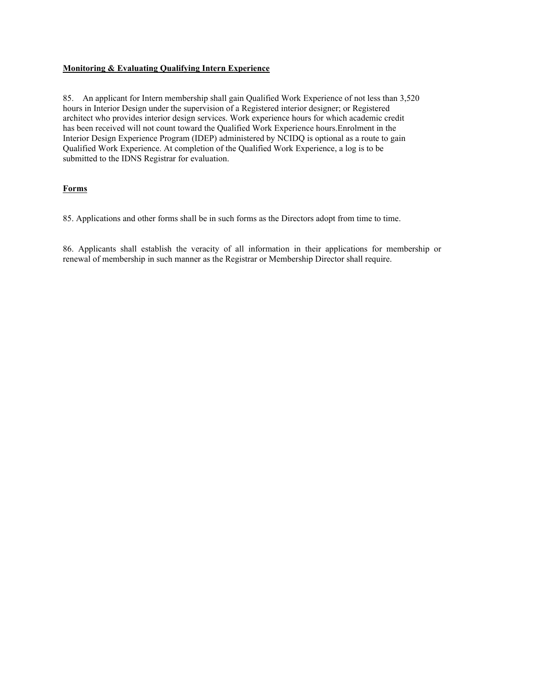#### **Monitoring & Evaluating Qualifying Intern Experience**

85. An applicant for Intern membership shall gain Qualified Work Experience of not less than 3,520 hours in Interior Design under the supervision of a Registered interior designer; or Registered architect who provides interior design services. Work experience hours for which academic credit has been received will not count toward the Qualified Work Experience hours.Enrolment in the Interior Design Experience Program (IDEP) administered by NCIDQ is optional as a route to gain Qualified Work Experience. At completion of the Qualified Work Experience, a log is to be submitted to the IDNS Registrar for evaluation.

# **Forms**

85. Applications and other forms shall be in such forms as the Directors adopt from time to time.

86. Applicants shall establish the veracity of all information in their applications for membership or renewal of membership in such manner as the Registrar or Membership Director shall require.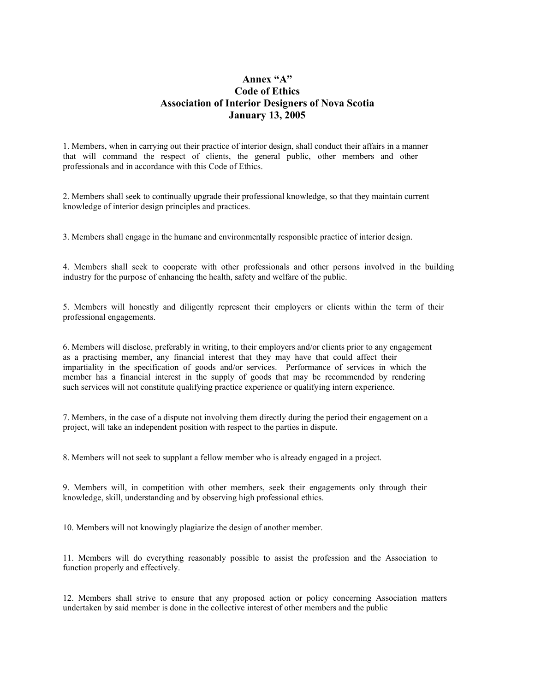# **Anney "A" Code of Ethics Association of Interior Designers of Nova Scotia January 13, 2005**

1. Members, when in carrying out their practice of interior design, shall conduct their affairs in a manner that will command the respect of clients, the general public, other members and other professionals and in accordance with this Code of Ethics.

2. Members shall seek to continually upgrade their professional knowledge, so that they maintain current knowledge of interior design principles and practices.

3. Members shall engage in the humane and environmentally responsible practice of interior design.

4. Members shall seek to cooperate with other professionals and other persons involved in the building industry for the purpose of enhancing the health, safety and welfare of the public.

5. Members will honestly and diligently represent their employers or clients within the term of their professional engagements.

6. Members will disclose, preferably in writing, to their employers and/or clients prior to any engagement as a practising member, any financial interest that they may have that could affect their impartiality in the specification of goods and/or services. Performance of services in which the member has a financial interest in the supply of goods that may be recommended by rendering such services will not constitute qualifying practice experience or qualifying intern experience.

7. Members, in the case of a dispute not involving them directly during the period their engagement on a project, will take an independent position with respect to the parties in dispute.

8. Members will not seek to supplant a fellow member who is already engaged in a project.

9. Members will, in competition with other members, seek their engagements only through their knowledge, skill, understanding and by observing high professional ethics.

10. Members will not knowingly plagiarize the design of another member.

11. Members will do everything reasonably possible to assist the profession and the Association to function properly and effectively.

12. Members shall strive to ensure that any proposed action or policy concerning Association matters undertaken by said member is done in the collective interest of other members and the public